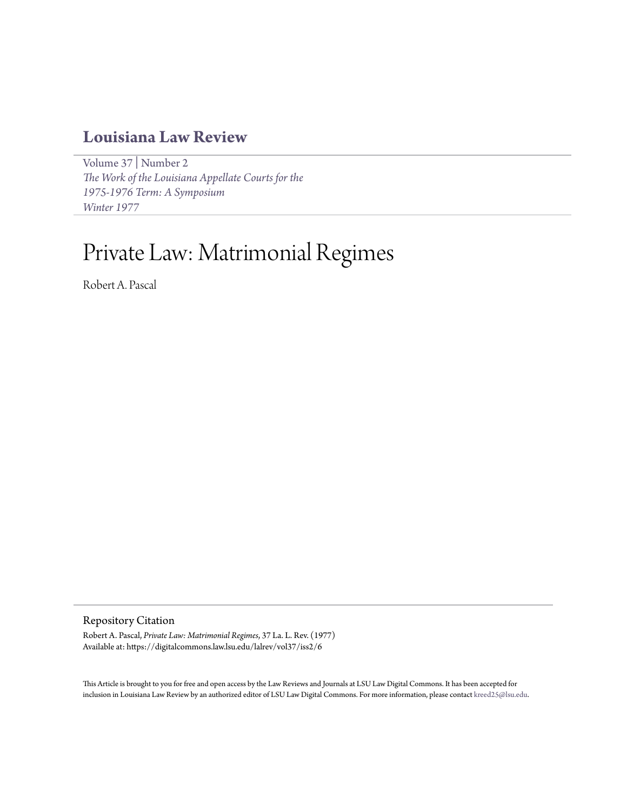# **[Louisiana Law Review](https://digitalcommons.law.lsu.edu/lalrev)**

[Volume 37](https://digitalcommons.law.lsu.edu/lalrev/vol37) | [Number 2](https://digitalcommons.law.lsu.edu/lalrev/vol37/iss2) *[The Work of the Louisiana Appellate Courts for the](https://digitalcommons.law.lsu.edu/lalrev/vol37/iss2) [1975-1976 Term: A Symposium](https://digitalcommons.law.lsu.edu/lalrev/vol37/iss2) [Winter 1977](https://digitalcommons.law.lsu.edu/lalrev/vol37/iss2)*

# Private Law: Matrimonial Regimes

Robert A. Pascal

Repository Citation

Robert A. Pascal, *Private Law: Matrimonial Regimes*, 37 La. L. Rev. (1977) Available at: https://digitalcommons.law.lsu.edu/lalrev/vol37/iss2/6

This Article is brought to you for free and open access by the Law Reviews and Journals at LSU Law Digital Commons. It has been accepted for inclusion in Louisiana Law Review by an authorized editor of LSU Law Digital Commons. For more information, please contact [kreed25@lsu.edu](mailto:kreed25@lsu.edu).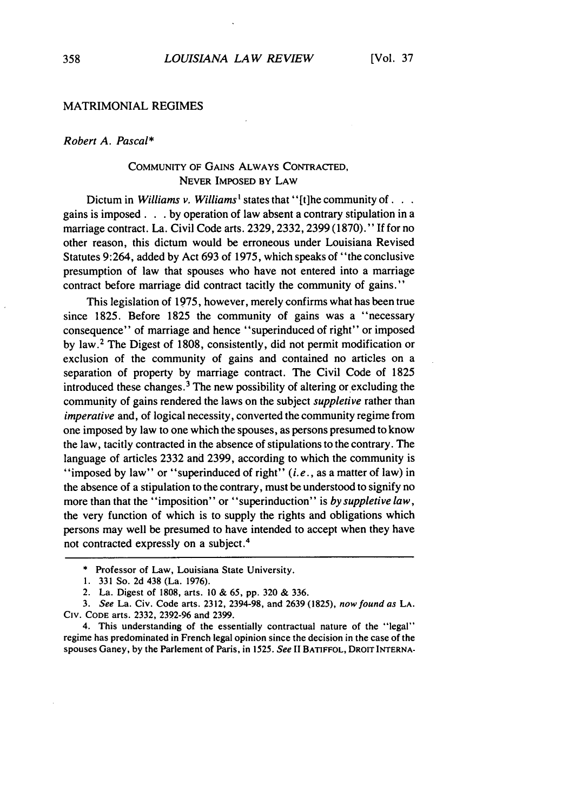#### MATRIMONIAL REGIMES

# *Robert A. Pascal\**

# **COMMUNITY** OF GAINS ALWAYS **CONTRACTED,** NEVER IMPOSED BY LAW

Dictum in *Williams v. Williams*<sup>1</sup> states that "[t]he community of . . . gains is imposed **. . .** by operation of law absent a contrary stipulation in a marriage contract. La. Civil Code arts. 2329, 2332, 2399 (1870)." If for no other reason, this dictum would be erroneous under Louisiana Revised Statutes 9:264, added by Act 693 of 1975, which speaks of "the conclusive presumption of law that spouses who have not entered into a marriage contract before marriage did contract tacitly the community of gains."

This legislation of 1975, however, merely confirms what has been true since 1825. Before 1825 the community of gains was a "necessary consequence" of marriage and hence "superinduced of right" or imposed by law.2 The Digest of 1808, consistently, did not permit modification or exclusion of the community of gains and contained no articles on a separation of property by marriage contract. The Civil Code of 1825 introduced these changes. 3 The new possibility of altering or excluding the community of gains rendered the laws on the subject *suppletive* rather than *imperative* and, of logical necessity, converted the community regime from one imposed by law to one which the spouses, as persons presumed to know the law, tacitly contracted in the absence of stipulations to the contrary. The language of articles 2332 and 2399, according to which the community is "imposed by law" or "superinduced of right" (i.e., as a matter of law) in the absence of a stipulation to the contrary, must be understood to signify no more than that the "imposition" or "superinduction" is *by suppletive law*, the very function of which is to supply the rights and obligations which persons may well be presumed to have intended to accept when they have not contracted expressly on a subject. <sup>4</sup>

<sup>\*</sup> Professor of Law, Louisiana State University.

<sup>1. 331</sup> So. 2d 438 (La. 1976).

<sup>2.</sup> La. Digest of 1808, arts. 10 & 65, pp. 320 & 336.

*<sup>3.</sup>* See La. Civ. Code arts. 2312, 2394-98, and 2639 (1825), now found as LA. CIv. **CODE** arts. 2332, 2392-96 and 2399.

<sup>4.</sup> This understanding of the essentially contractual nature of the "legal" regime has predominated in French legal opinion since the decision in the case of the spouses Ganey, by the Parlement of Paris, in 1525. *See* II BATIFFOL, DROIT **INTERNA-**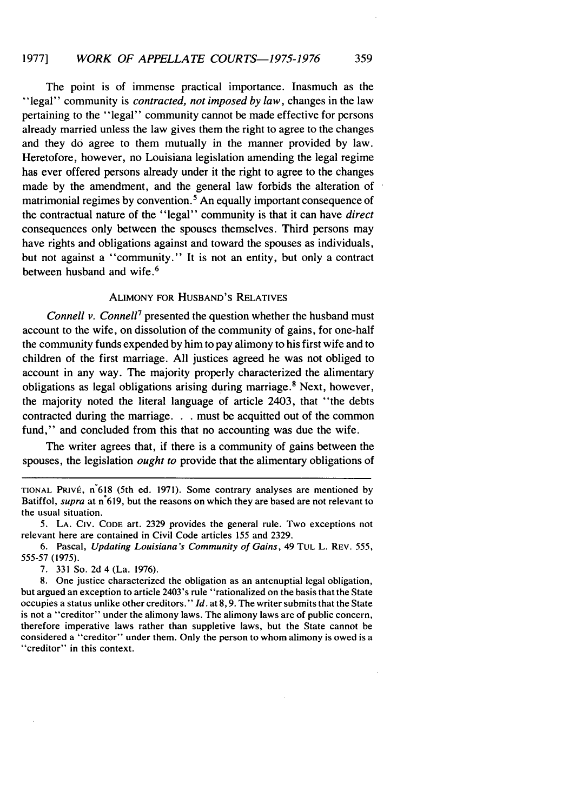The point is of immense practical importance. Inasmuch as the "legal" community is *contracted,* not *imposed by law,* changes in the law pertaining to the "legal" community cannot be made effective for persons already married unless the law gives them the right to agree to the changes and they do agree to them mutually in the manner provided by law. Heretofore, however, no Louisiana legislation amending the legal regime has ever offered persons already under it the right to agree to the changes made by the amendment, and the general law forbids the alteration of matrimonial regimes by convention.<sup>5</sup> An equally important consequence of the contractual nature of the "legal" community is that it can have *direct* consequences only between the spouses themselves. Third persons may have rights and obligations against and toward the spouses as individuals, but not against a "community." It is not an entity, but only a contract between husband and wife. <sup>6</sup>

# ALIMONY FOR HUSBAND'S RELATIVES

*Connell v. Connell<sup>7</sup>* presented the question whether the husband must account to the wife, on dissolution of the community of gains, for one-half the community funds expended by him to pay alimony to his first wife and to children of the first marriage. All justices agreed he was not obliged to account in any way. The majority properly characterized the alimentary obligations as legal obligations arising during marriage.8 Next, however, the majority noted the literal language of article 2403, that "the debts contracted during the marriage. **. .** must be acquitted out of the common fund," and concluded from this that no accounting was due the wife.

The writer agrees that, if there is a community of gains between the spouses, the legislation *ought to* provide that the alimentary obligations of

TIONAL PRIVÉ, n<sup>°</sup>618 (5th ed. 1971). Some contrary analyses are mentioned by Batiffol, supra at  $n^2$  619, but the reasons on which they are based are not relevant to the usual situation.

6. Pascal, *Updating Louisiana's Community of Gains,* 49 **TUL** L. REV. 555, 555-57 (1975).

7. 331 So. 2d 4 (La. 1976).

8. One justice characterized the obligation as an antenuptial legal obligation, but argued an exception to article 2403's rule "rationalized on the basis that the State occupies a status unlike other creditors." *Id.* at 8, 9. The writer submits that the State is not a "creditor" under the alimony laws. The alimony laws are of public concern, therefore imperative laws rather than suppletive laws, but the State cannot be considered a "creditor" under them. Only the person to whom alimony is owed is a "creditor" in this context.

**<sup>5.</sup> LA.** CIv. CODE art. 2329 provides the general rule. Two exceptions not relevant here are contained in Civil Code articles 155 and 2329.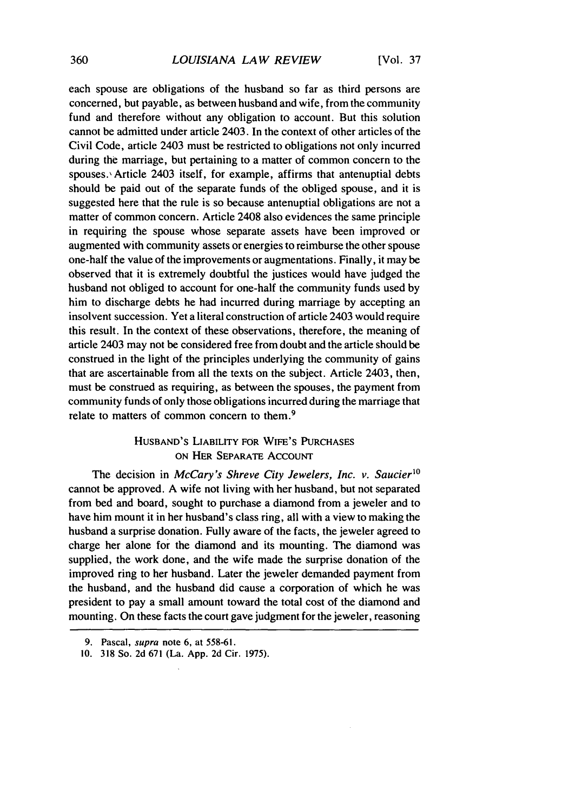each spouse are obligations of the husband so far as third persons are concerned, but payable, as between husband and wife, from the community fund and therefore without any obligation to account. But this solution cannot be admitted under article 2403. In the context of other articles of the Civil Code, article 2403 must be restricted to obligations not only incurred during the marriage, but pertaining to a matter of common concern to the spouses. Article 2403 itself, for example, affirms that antenuptial debts should be paid out of the separate funds of the obliged spouse, and it is suggested here that the rule is so because antenuptial obligations are not a matter of common concern. Article 2408 also evidences the same principle in requiring the spouse whose separate assets have been improved or augmented with community assets or energies to reimburse the other spouse one-half the value of the improvements or augmentations. Finally, it may be observed that it is extremely doubtful the justices would have judged the husband not obliged to account for one-half the community funds used by him to discharge debts he had incurred during marriage by accepting an insolvent succession. Yet a literal construction of article 2403 would require this result. In the context of these observations, therefore, the meaning of article 2403 may not be considered free from doubt and the article should be construed in the light of the principles underlying the community of gains that are ascertainable from all the texts on the subject. Article 2403, then, must be construed as requiring, as between the spouses, the payment from community funds of only those obligations incurred during the marriage that relate to matters of common concern to them. <sup>9</sup>

# HUSBAND'S LIABILITY FOR WIFE'S **PURCHASES ON** HER SEPARATE ACCOUNT

The decision in *McCary's Shreve City Jewelers, Inc. v. Saucier<sup>10</sup>* cannot be approved. A wife not living with her husband, but not separated from bed and board, sought to purchase a diamond from a jeweler and to have him mount it in her husband's class ring, all with a view to making the husband a surprise donation. Fully aware of the facts, the jeweler agreed to charge her alone for the diamond and its mounting. The diamond was supplied, the work done, and the wife made the surprise donation of the improved ring to her husband. Later the jeweler demanded payment from the husband, and the husband did cause a corporation of which he was president to pay a small amount toward the total cost of the diamond and mounting. On these facts the court gave judgment for the jeweler, reasoning

<sup>9.</sup> Pascal, supra note 6, at 558-61.

<sup>10. 318</sup> So. 2d 671 (La. App. 2d Cir. 1975).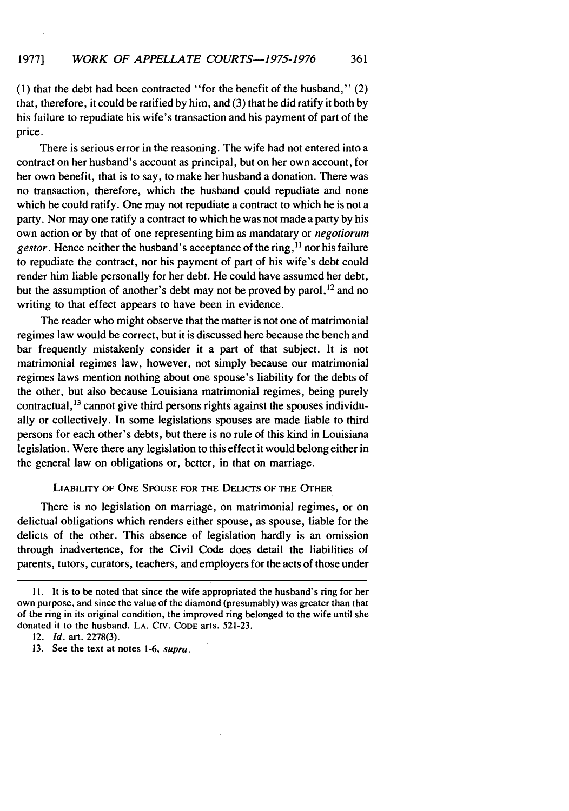(1) that the debt had been contracted "for the benefit of the husband," (2) that, therefore, it could be ratified by him, and (3) that he did ratify it both by his failure to repudiate his wife's transaction and his payment of part of the price.

There is serious error in the reasoning. The wife had not entered into a contract on her husband's account as principal, but on her own account, for her own benefit, that is to say, to make her husband a donation. There was no transaction, therefore, which the husband could repudiate and none which he could ratify. One may not repudiate a contract to which he is not a party. Nor may one ratify a contract to which he was not made a party by his own action or by that of one representing him as mandatary or *negotiorum gestor*. Hence neither the husband's acceptance of the ring, <sup>11</sup> nor his failure to repudiate the contract, nor his payment of part of his wife's debt could render him liable personally for her debt. He could have assumed her debt, but the assumption of another's debt may not be proved by parol,  $^{12}$  and no writing to that effect appears to have been in evidence.

The reader who might observe that the matter is not one of matrimonial regimes law would be correct, but it is discussed here because the bench and bar frequently mistakenly consider it a part of that subject. It is not matrimonial regimes law, however, not simply because our matrimonial regimes laws mention nothing about one spouse's liability for the debts of the other, but also because Louisiana matrimonial regimes, being purely contractual, **1 <sup>3</sup>**cannot give third persons rights against the spouses individually or collectively. In some legislations spouses are made liable to third persons for each other's debts, but there is no rule of this kind in Louisiana legislation. Were there any legislation to this effect it would belong either in the general law on obligations or, better, in that on marriage.

#### **LIABILITY** OF **ONE SPOUSE FOR** THE **DELICrs OF** THE OTHER

There is no legislation on marriage, on matrimonial regimes, or on delictual obligations which renders either spouse, as spouse, liable for the delicts of the other. This absence of legislation hardly is an omission through inadvertence, for the Civil Code does detail the liabilities of parents, tutors, curators, teachers, and employers for the acts of those under

**<sup>11.</sup>** It is to be noted that since the wife appropriated the husband's ring for her own purpose, and since the value of the diamond (presumably) was greater than that of the ring in its original condition, the improved ring belonged to the wife until she donated it to the husband. LA. CiV. **CODE** arts. 521-23.

<sup>12.</sup> *Id.* art. 2278(3).

<sup>13.</sup> See the text at notes 1-6, supra.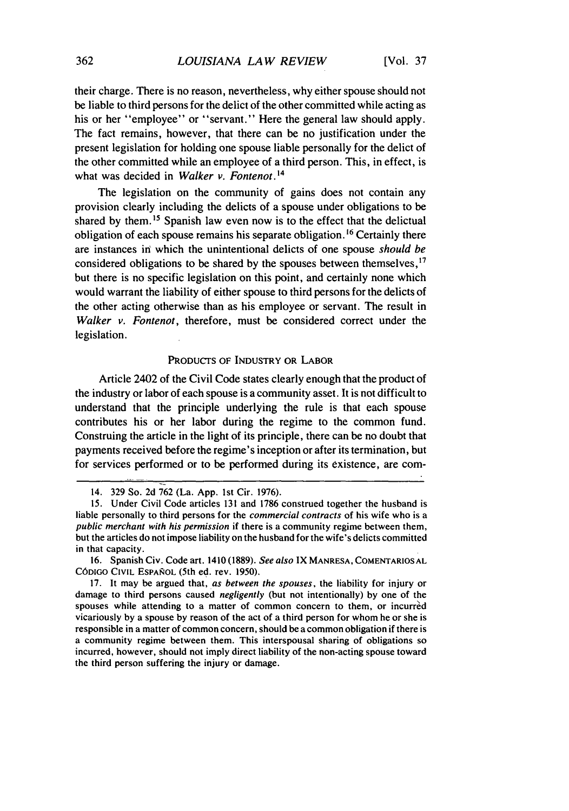their charge. There is no reason, nevertheless, why either spouse should not be liable to third persons for the delict of the other committed while acting as his or her "employee" or "servant." Here the general law should apply. The fact remains, however, that there can be no justification under the present legislation for holding one spouse liable personally for the delict of the other committed while an employee of a third person. This, in effect, is what was decided in *Walker v. Fontenot.<sup>4</sup>*

The legislation on the community of gains does not contain any provision clearly including the delicts of a spouse under obligations to be shared by them.<sup>15</sup> Spanish law even now is to the effect that the delictual obligation of each spouse remains his separate obligation.<sup>16</sup> Certainly there are instances in which the unintentional delicts of one spouse *should be* considered obligations to be shared by the spouses between themselves, <sup>17</sup> but there is no specific legislation on this point, and certainly none which would warrant the liability of either spouse to third persons for the delicts of the other acting otherwise than as his employee or servant. The result in *Walker v. Fontenot,* therefore, must be considered correct under the legislation.

#### PRODUCTS OF INDUSTRY OR LABOR

Article 2402 of the Civil Code states clearly enough that the product of the industry or labor of each spouse is a community asset. It is not difficult to understand that the principle underlying the rule is that each spouse contributes his or her labor during the regime to the common fund. Construing the article in the light of its principle, there can be no doubt that payments received before the regime's inception or after its termination, but for services performed or to be performed during its existence, are com-

<sup>14. 329</sup> So. 2d 762 (La. App. 1st Cir. 1976).

<sup>15.</sup> Under Civil Code articles 131 and 1786 construed together the husband is liable personally to third persons for the commercial contracts of his wife who is a public merchant with his permission if there is a community regime between them, but the articles do not impose liability on the husband for the wife's delicts committed in that capacity.

<sup>16.</sup> Spanish Civ. Code art. 1410 (1889). See also IX **MANRESA, COMENTARIOSAL** CÓDIGO CIVIL ESPAÑOL (5th ed. rev. 1950).

<sup>17.</sup> It may be argued that, as between the spouses, the liability for injury or damage to third persons caused negligently (but not intentionally) by one of the spouses while attending to a matter of common concern to them, or incurred vicariously by a spouse by reason of the act of a third person for whom he or she is responsible in a matter of common concern, should be a common obligation if there is a community regime between them. This interspousal sharing of obligations so incurred, however, should not imply direct liability of the non-acting spouse toward the third person suffering the injury or damage.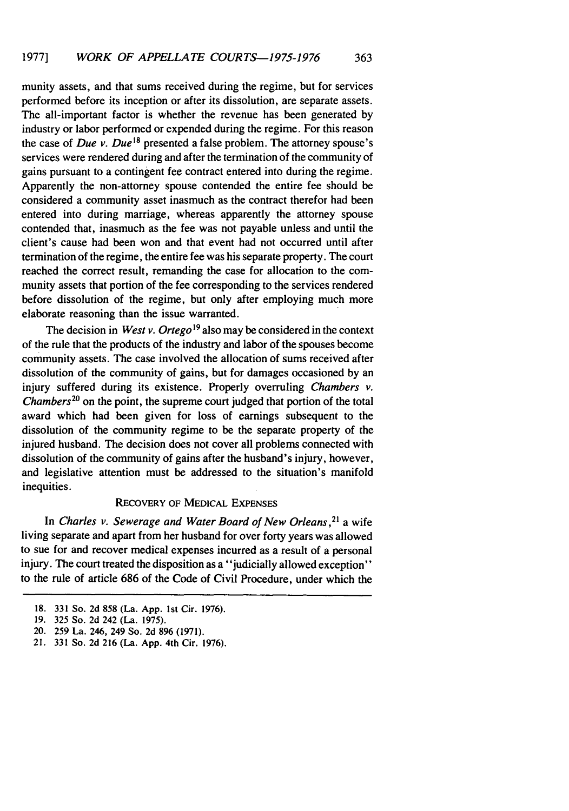munity assets, and that sums received during the regime, but for services performed before its inception or after its dissolution, are separate assets. The all-important factor is whether the revenue has been generated by industry or labor performed or expended during the regime. For this reason the case of *Due v. Due*<sup>18</sup> presented a false problem. The attorney spouse's services were rendered during and after the termination of the community of gains pursuant to a contingent fee contract entered into during the regime. Apparently the non-attorney spouse contended the entire fee should be considered a community asset inasmuch as the contract therefor had been entered into during marriage, whereas apparently the attorney spouse contended that, inasmuch as the fee was not payable unless and until the client's cause had been won and that event had not occurred until after termination of the regime, the entire fee was his separate property. The court reached the correct result, remanding the case for allocation to the community assets that portion of the fee corresponding to the services rendered before dissolution of the regime, but only after employing much more elaborate reasoning than the issue warranted.

The decision in *West v. Ortego*<sup>19</sup> also may be considered in the context of the rule that the products of the industry and labor of the spouses become community assets. The case involved the allocation of sums received after dissolution of the community of gains, but for damages occasioned by an injury suffered during its existence. Properly overruling *Chambers v. Chambers20* on the point, the supreme court judged that portion of the total award which had been given for loss of earnings subsequent to the dissolution of the community regime to be the separate property of the injured husband. The decision does not cover all problems connected with dissolution of the community of gains after the husband's injury, however, and legislative attention must be addressed to the situation's manifold inequities.

#### RECOVERY OF MEDICAL EXPENSES

In Charles *v. Sewerage and Water* Board of *New Orleans,21* a wife living separate and apart from her husband for over forty years was allowed to sue for and recover medical expenses incurred as a result of a personal injury. The court treated the disposition as a "judicially allowed exception" to the rule of article 686 of the Code of Civil Procedure, under which the

<sup>18. 331</sup> So. 2d 858 (La. App. 1st Cir. 1976).

<sup>19. 325</sup> So. 2d 242 (La. 1975).

<sup>20. 259</sup> La. 246, 249 So. 2d 896 (1971).

<sup>21. 331</sup> So. 2d 216 (La. App. 4th Cir. 1976).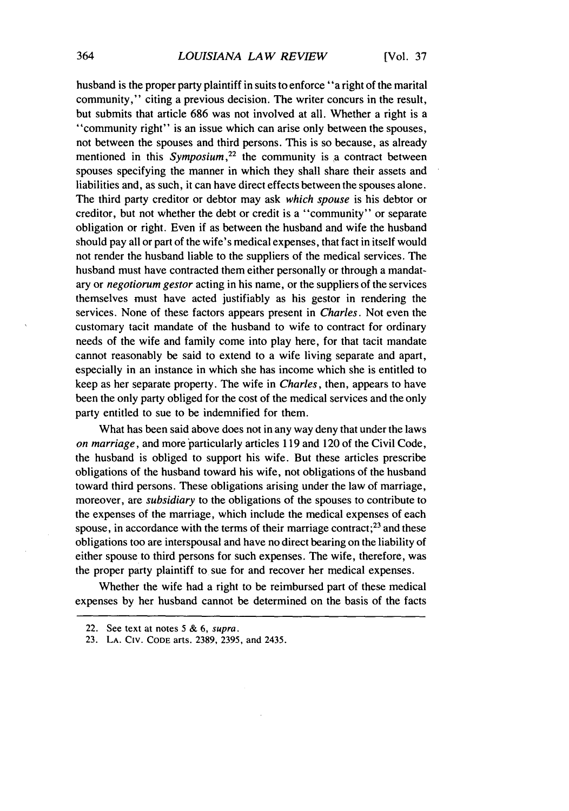husband is the proper party plaintiff in suits to enforce "a right of the marital community," citing a previous decision. The writer concurs in the result, but submits that article 686 was not involved at all. Whether a right is a "community right" is an issue which can arise only between the spouses, not between the spouses and third persons. This is so because, as already mentioned in this *Symposium*,<sup>22</sup> the community is a contract between spouses specifying the manner in which they shall share their assets and liabilities and, as such, it can have direct effects between the spouses alone. The third party creditor or debtor may ask *which spouse* is his debtor or creditor, but not whether the debt or credit is a "community" or separate obligation or right. Even if as between the husband and wife the husband should pay all or part of the wife's medical expenses, that fact in itself would not render the husband liable to the suppliers of the medical services. The husband must have contracted them either personally or through a mandatary or *negotiorum gestor* acting in his name, or the suppliers of the services themselves must have acted justifiably as his gestor in rendering the services. None of these factors appears present in *Charles.* Not even the customary tacit mandate of the husband to wife to contract for ordinary needs of the wife and family come into play here, for that tacit mandate cannot reasonably be said to extend to a wife living separate and apart, especially in an instance in which she has income which she is entitled to keep as her separate property. The wife in *Charles,* then, appears to have been the only party obliged for the cost of the medical services and the only party entitled to sue to be indemnified for them.

What has been said above does not in any way deny that under the laws *on marriage,* and more particularly articles 119 and 120 of the Civil Code, the husband is obliged to support his wife. But these articles prescribe obligations of the husband toward his wife, not obligations of the husband toward third persons. These obligations arising under the law of marriage, moreover, are *subsidiary* to the obligations of the spouses to contribute to the expenses of the marriage, which include the medical expenses of each spouse, in accordance with the terms of their marriage contract;<sup>23</sup> and these obligations too are interspousal and have no direct bearing on the liability of either spouse to third persons for such expenses. The wife, therefore, was the proper party plaintiff to sue for and recover her medical expenses.

Whether the wife had a right to be reimbursed part of these medical expenses by her husband cannot be determined on the basis of the facts

<sup>22.</sup> See text at notes **5** & 6, supra.

<sup>23.</sup> LA. CIV. **CODE** arts. 2389, 2395, and 2435.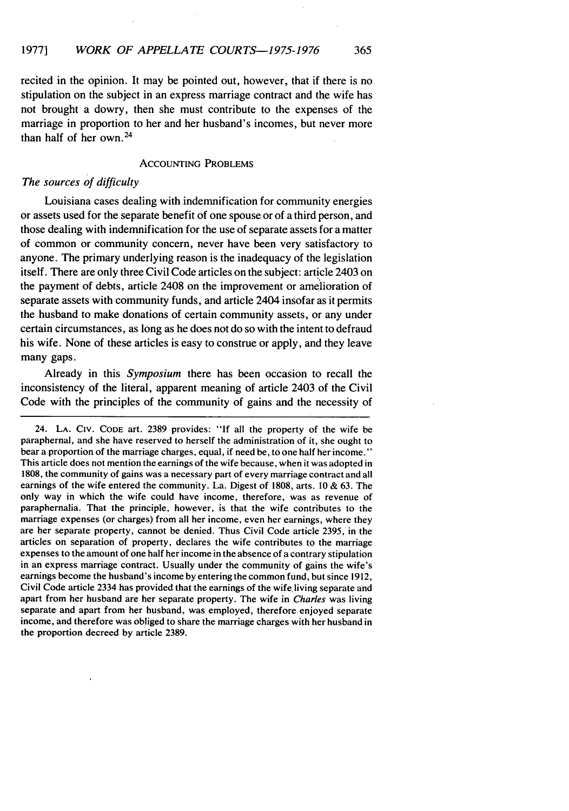recited in the opinion. It may be pointed out, however, that if there is no stipulation on the subject in an express marriage contract and the wife has not brought a dowry, then she must contribute to the expenses of the marriage in proportion to her and her husband's incomes, but never more than half of her own. 24

# **ACCOUNTING PROBLEMS**

# The sources of *difficulty*

Louisiana cases dealing with indemnification for community energies or assets used for the separate benefit of one spouse or of a third person, and those dealing with indemnification for the use of separate assets for a matter of common or community concern, never have been very satisfactory to anyone. The primary underlying reason is the inadequacy of the legislation itself. There are only three Civil Code articles on the subject: article 2403 on the payment of debts, article 2408 on the improvement or amelioration of separate assets with community funds, and article 2404 insofar as it permits the husband to make donations of certain community assets, or any under certain circumstances, as long as he does not do so with the intent to defraud his wife. None of these articles is easy to construe or apply, and they leave many gaps.

Already in this *Symposium* there has been occasion to recall the inconsistency of the literal, apparent meaning of article 2403 of the Civil Code with the principles of the community of gains and the necessity of

<sup>24.</sup> LA. **CIV.** CODE art. 2389 provides: **"If** all the property of the wife be paraphernal, and she have reserved to herself the administration of it, she ought to bear a proportion of the marriage charges, equal, if need be, to one half her income." This article does not mention the earnings of the wife because, when it was adopted in 1808, the community of gains was a necessary part of every marriage contract and all earnings of the wife entered the community. La. Digest of 1808, arts. 10 & 63. The only way in which the wife could have income, therefore, was as revenue of paraphernalia. That the principle, however, is that the wife contributes to the marriage expenses (or charges) from all her income, even her earnings, where they are her separate property, cannot be denied. Thus Civil Code article 2395, in the articles on separation of property, declares the wife contributes to the marriage expenses to the amount of one half her income in the absence of a contrary stipulation in an express marriage contract. Usually under the community of gains the wife's earnings become the husband's income by entering the common fund, but since 1912, Civil Code article 2334 has provided that the earnings of the wife, living separate and apart from her husband are her separate property. The wife in *Charles* was living separate and apart from her husband, was employed, therefore enjoyed separate income, and therefore was obliged to share the marriage charges with her husband in the proportion decreed by article 2389.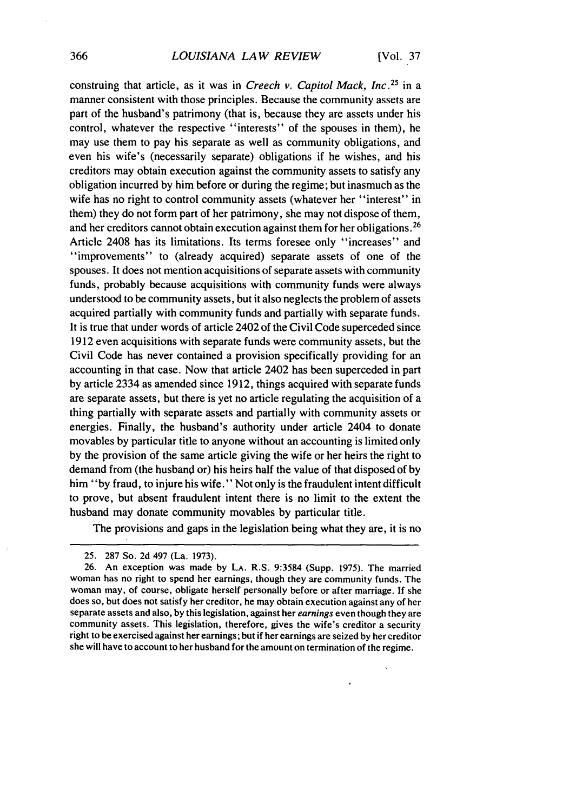construing that article, as it was in *Creech v. Capitol Mack, Inc.*<sup>25</sup> in a manner consistent with those principles. Because the community assets are part of the husband's patrimony (that is, because they are assets under his control, whatever the respective "interests" of the spouses in them), he may use them to pay his separate as well as community obligations, and even his wife's (necessarily separate) obligations if he wishes, and his creditors may obtain execution against the community assets to satisfy any obligation incurred by him before or during the regime; but inasmuch as the wife has no right to control community assets (whatever her "interest" in them) they do not form part of her patrimony, she may not dispose of them, and her creditors cannot obtain execution against them for her obligations. <sup>26</sup> Article 2408 has its limitations. Its terms foresee only "increases" and "improvements" to (already acquired) separate assets of one of the spouses. It does not mention acquisitions of separate assets with community funds, probably because acquisitions with community funds were always understood to be community assets, but it also neglects the problem of assets acquired partially with community funds and partially with separate funds. It is true that under words of article 2402 of the Civil Code superceded since 1912 even acquisitions with separate funds were community assets, but the Civil Code has never contained a provision specifically providing for an accounting in that case. Now that article 2402 has been superceded in part by article 2334 as amended since 1912, things acquired with separate funds are separate assets, but there is yet no article regulating the acquisition of a thing partially with separate assets and partially with community assets or energies. Finally, the husband's authority under article 2404 to donate movables by particular title to anyone without an accounting is limited only by the provision of the same article giving the wife or her heirs the right to demand from (the husband or) his heirs half the value of that disposed of by him "by fraud, to injure his wife." Not only is the fraudulent intent difficult to prove, but absent fraudulent intent there is no limit to the extent the husband may donate community movables by particular title.

The provisions and gaps in the legislation being what they are, it is no

<sup>25.</sup> 287 So. 2d 497 (La. 1973).

<sup>26.</sup> An exception was made by **LA.** R.S. 9:3584 (Supp. 1975). The married woman has no right to spend her earnings, though they are community funds. The woman may, of course, obligate herself personally before or after marriage. If she does so, but does not satisfy her creditor, he may obtain execution against any of her separate assets and also, by this legislation, against her *earnings* even though they are community assets. This legislation, therefore, gives the wife's creditor a security right to be exercised against her earnings; but if her earnings are seized by her creditor she will have to account to her husband for the amount on termination of the regime.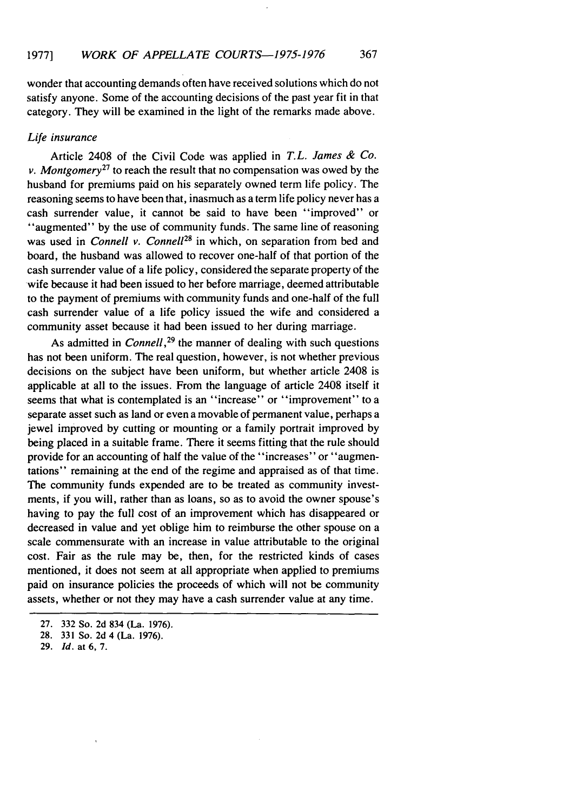wonder that accounting demands often have received solutions which do not satisfy anyone. Some of the accounting decisions of the past year fit in that category. They will be examined in the light of the remarks made above.

# *Life insurance*

Article 2408 of the Civil Code was applied in *T.L. James & Co. v. Montgomery*<sup>27</sup> to reach the result that no compensation was owed by the husband for premiums paid on his separately owned term life policy. The reasoning seems to have been that, inasmuch as a term life policy never has a cash surrender value, it cannot be said to have been "improved" or "augmented" by the use of community funds. The same line of reasoning was used in *Connell v. Connell<sup>28</sup>* in which, on separation from bed and board, the husband was allowed to recover one-half of that portion of the cash surrender value of a life policy, considered the separate property of the wife because it had been issued to her before marriage, deemed attributable to the payment of premiums with community funds and one-half of the full cash surrender value of a life policy issued the wife and considered a community asset because it had been issued to her during marriage.

As admitted in *Connell,<sup>29</sup>*the manner of dealing with such questions has not been uniform. The real question, however, is not whether previous decisions on the subject have been uniform, but whether article 2408 is applicable at all to the issues. From the language of article 2408 itself it seems that what is contemplated is an "increase" or "improvement" to a separate asset such as land or even a movable of permanent value, perhaps a jewel improved by cutting or mounting or a family portrait improved by being placed in a suitable frame. There it seems fitting that the rule should provide for an accounting of half the value of the "increases" or "augmentations" remaining at the end of the regime and appraised as of that time. The community funds expended are to be treated as community investments, if you will, rather than as loans, so as to avoid the owner spouse's having to pay the full cost of an improvement which has disappeared or decreased in value and yet oblige him to reimburse the other spouse on a scale commensurate with an increase in value attributable to the original cost. Fair as the rule may be, then, for the restricted kinds of cases mentioned, it does not seem at all appropriate when applied to premiums paid on insurance policies the proceeds of which will not be community assets, whether or not they may have a cash surrender value at any time.

<sup>27. 332</sup> So. 2d 834 (La. 1976).

<sup>28. 331</sup> So. 2d 4 (La. 1976).

<sup>29.</sup> *Id.* at **6,** 7.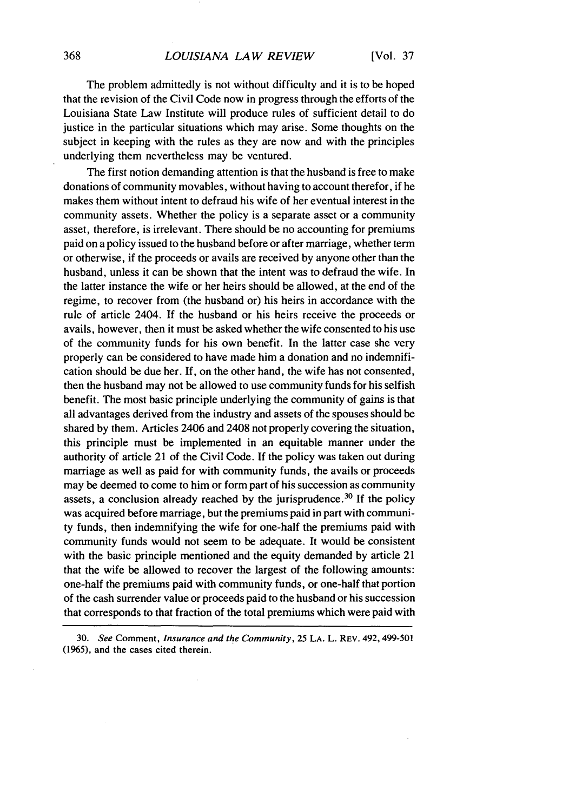# *LOUISIANA LAW REVIEW*

The problem admittedly is not without difficulty and it is to be hoped that the revision of the Civil Code now in progress through the efforts of the Louisiana State Law Institute will produce rules of sufficient detail to do justice in the particular situations which may arise. Some thoughts on the subject in keeping with the rules as they are now and with the principles underlying them nevertheless may be ventured.

The first notion demanding attention is that the husband is free to make donations of community movables, without having to account therefor, if he makes them without intent to defraud his wife of her eventual interest in the community assets. Whether the policy is a separate asset or a community asset, therefore, is irrelevant. There should be no accounting for premiums paid on a policy issued to the husband before or after marriage, whether term or otherwise, if the proceeds or avails are received by anyone other than the husband, unless it can be shown that the intent was to defraud the wife. In the latter instance the wife or her heirs should be allowed, at the end of the regime, to recover from (the husband or) his heirs in accordance with the rule of article 2404. If the husband or his heirs receive the proceeds or avails, however, then it must be asked whether the wife consented to his use of the community funds for his own benefit. In the latter case she very properly can be considered to have made him a donation and no indemnification should be due her. If, on the other hand, the wife has not consented, then the husband may not be allowed to use community funds for his selfish benefit. The most basic principle underlying the community of gains is that all advantages derived from the industry and assets of the spouses should be shared by them. Articles 2406 and 2408 not properly covering the situation, this principle must be implemented in an equitable manner under the authority of article 21 of the Civil Code. If the policy was taken out during marriage as well as paid for with community funds, the avails or proceeds may be deemed to come to him or form part of his succession as community assets, a conclusion already reached by the jurisprudence.<sup>30</sup> If the policy was acquired before marriage, but the premiums paid in part with community funds, then indemnifying the wife for one-half the premiums paid with community funds would not seem to be adequate. It would be consistent with the basic principle mentioned and the equity demanded by article 21 that the wife be allowed to recover the largest of the following amounts: one-half the premiums paid with community funds, or one-half that portion of the cash surrender value or proceeds paid to the husband or his succession that corresponds to that fraction of the total premiums which were paid with

**30.** *See* Comment, *Insurance and the Community,* 25 **LA.** L. REV. 492,499-501 (1965), and the cases cited therein.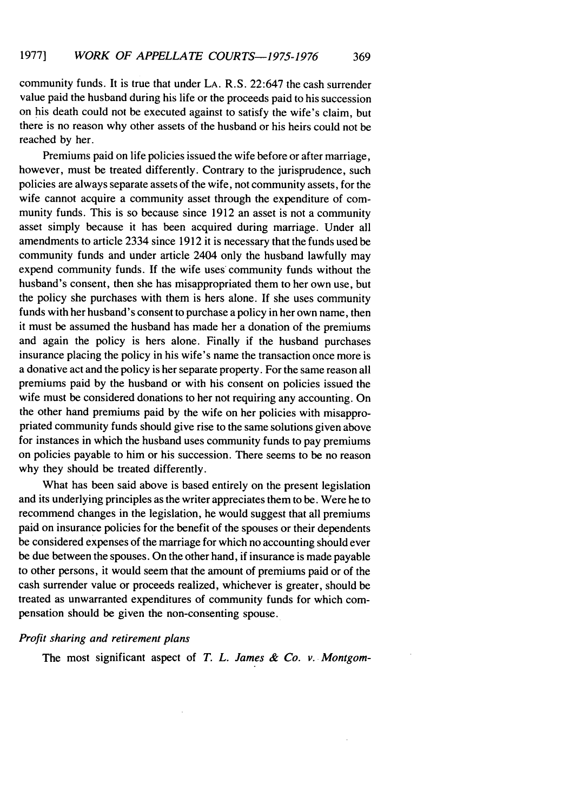community funds. It is true that under LA. R.S. 22:647 the cash surrender value paid the husband during his life or the proceeds paid to his succession on his death could not be executed against to satisfy the wife's claim, but there is no reason why other assets of the husband or his heirs could not be reached by her.

Premiums paid on life policies issued the wife before or after marriage, however, must be treated differently. Contrary to the jurisprudence, such policies are always separate assets of the wife, not community assets, for the wife cannot acquire a community asset through the expenditure of community funds. This is so because since 1912 an asset is not a community asset simply because it has been acquired during marriage. Under all amendments to article 2334 since 1912 it is necessary that the funds used be community funds and under article 2404 only the husband lawfully may expend community funds. If the wife uses community funds without the husband's consent, then she has misappropriated them to her own use, but the policy she purchases with them is hers alone. If she uses community funds with her husband's consent to purchase a policy in her own name, then it must be assumed the husband has made her a donation of the premiums and again the policy is hers alone. Finally if the husband purchases insurance placing the policy in his wife's name the transaction once more is a donative act and the policy is her separate property. For the same reason all premiums paid by the husband or with his consent on policies issued the wife must be considered donations to her not requiring any accounting. On the other hand premiums paid by the wife on her policies with misappropriated community funds should give rise to the same solutions given above for instances in which the husband uses community funds to pay premiums on policies payable to him or his succession. There seems to be no reason why they should be treated differently.

What has been said above is based entirely on the present legislation and its underlying principles as the writer appreciates them to be. Were he to recommend changes in the legislation, he would suggest that all premiums paid on insurance policies for the benefit of the spouses or their dependents be considered expenses of the marriage for which no accounting should ever be due between the spouses. On the other hand, if insurance is made payable to other persons, it would seem that the amount of premiums paid or of the cash surrender value or proceeds realized, whichever is greater, should be treated as unwarranted expenditures of community funds for which compensation should be given the non-consenting spouse.

#### *Profit sharing and retirement plans*

The most significant aspect of *T. L. James & Co. v. Montgom-*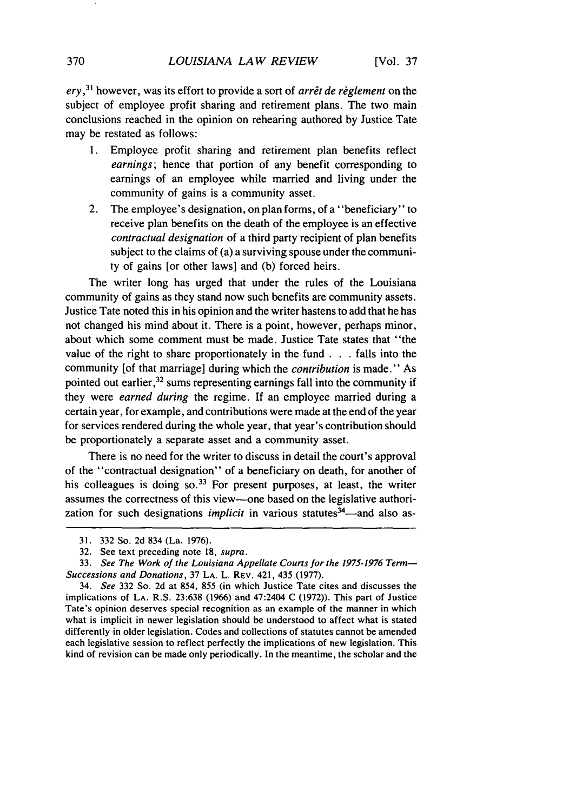*ery*,<sup>31</sup> however, was its effort to provide a sort of *arrêt de règlement* on the subject of employee profit sharing and retirement plans. The two main conclusions reached in the opinion on rehearing authored by Justice Tate may be restated as follows:

- 1. Employee profit sharing and retirement plan benefits reflect *earnings;* hence that portion of any benefit corresponding to earnings of an employee while married and living under the community of gains is a community asset.
- 2. The employee's designation, on plan forms, of a "beneficiary" to receive plan benefits on the death of the employee is an effective *contractual designation* of a third party recipient of plan benefits subject to the claims of (a) a surviving spouse under the community of gains [or other laws] and (b) forced heirs.

The writer long has urged that under the rules of the Louisiana community of gains as they stand now such benefits are community assets. Justice Tate noted this in his opinion and the writer hastens to add that he has not changed his mind about it. There is a point, however, perhaps minor, about which some comment must be made. Justice Tate states that "the value of the right to share proportionately in the fund **. . .** falls into the community [of that marriage] during which the *contribution* is made." As pointed out earlier, 32 sums representing earnings fall into the community if they were *earned during* the regime. If an employee married during a certain year, for example, and contributions were made at the end of the year for services rendered during the whole year, that year's contribution should be proportionately a separate asset and a community asset.

There is no need for the writer to discuss in detail the court's approval of the "contractual designation" of a beneficiary on death, for another of his colleagues is doing so.<sup>33</sup> For present purposes, at least, the writer assumes the correctness of this view--one based on the legislative authorization for such designations *implicit* in various statutes<sup>34</sup>—and also as-

<sup>31. 332</sup> So. 2d 834 (La. 1976).

<sup>32.</sup> See text preceding note 18, *supra.*

**<sup>33.</sup>** See The Work of the *Louisiana* Appellate Courts for the 1975-1976 Term-Successions and Donations, 37 **LA.** L. REv. 421, 435 (1977).

<sup>34.</sup> *See* 332 So. 2d at 854, 855 (in which Justice Tate cites and discusses the implications of **LA.** R.S. 23:638 (1966) and 47:2404 C (1972)). This part of Justice Tate's opinion deserves special recognition as an example of the manner in which what is implicit in newer legislation should be understood to affect what is stated differently in older legislation. Codes and collections of statutes cannot be amended each legislative session to reflect perfectly the implications of new legislation. This kind of revision can be made only periodically. In the meantime, the scholar and the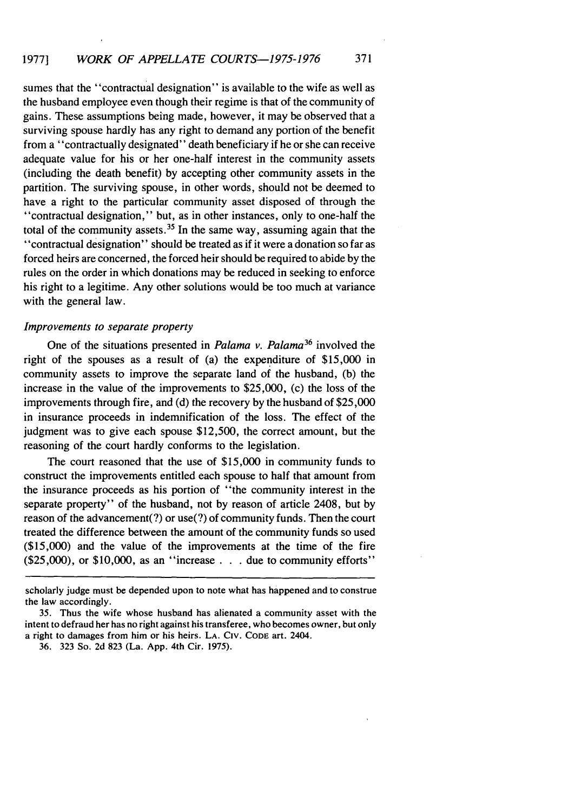sumes that the "contractual designation" is available to the wife as well as the husband employee even though their regime is that of the community of gains. These assumptions being made, however, it may be observed that a surviving spouse hardly has any right to demand any portion of the benefit from a "contractually designated" death beneficiary if he or she can receive adequate value for his or her one-half interest in the community assets (including the death benefit) by accepting other community assets in the partition. The surviving spouse, in other words, should not be deemed to have a right to the particular community asset disposed of through the "contractual designation," but, as in other instances, only to one-half the total of the community assets.<sup>35</sup> In the same way, assuming again that the "contractual designation" should be treated as if it were a donation so far as forced heirs are concerned, the forced heir should be required to abide by the rules on the order in which donations may be reduced in seeking to enforce his right to a legitime. Any other solutions would be too much at variance with the general law.

#### *Improvements to separate property*

One of the situations presented in *Palama v. Palama36* involved the right of the spouses as a result of (a) the expenditure of \$15,000 in community assets to improve the separate land of the husband, (b) the increase in the value of the improvements to \$25,000, (c) the loss of the improvements through fire, and (d) the recovery by the husband of \$25,000 in insurance proceeds in indemnification of the loss. The effect of the judgment was to give each spouse \$12,500, the correct amount, but the reasoning of the court hardly conforms to the legislation.

The court reasoned that the use of \$15,000 in community funds to construct the improvements entitled each spouse to half that amount from the insurance proceeds as his portion of "the community interest in the separate property" of the husband, not by reason of article 2408, but by reason of the advancement(?) or use(?) of community funds. Then the court treated the difference between the amount of the community funds so used (\$15,000) and the value of the improvements at the time of the fire (\$25,000), or \$10,000, as an "increase . . . due to community efforts"

scholarly judge must be depended upon to note what has happened and to construe the law accordingly.

<sup>35.</sup> Thus the wife whose husband has alienated a community asset with the intent to defraud her has no right against his transferee, who becomes owner, but only a right to damages from him or his heirs. LA. **CIv. CODE** art. 2404.

<sup>36. 323</sup> So. 2d 823 (La. App. 4th Cir. 1975).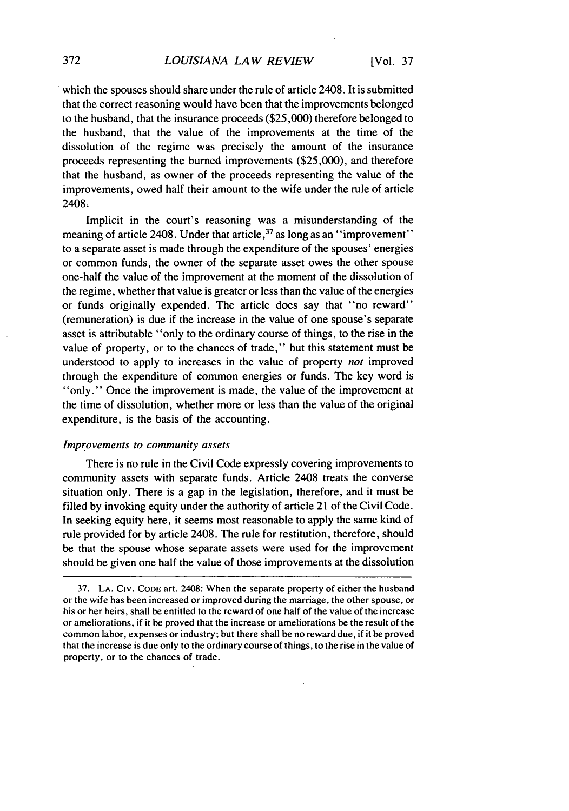which the spouses should share under the rule of article 2408. It is submitted that the correct reasoning would have been that the improvements belonged to the husband, that the insurance proceeds (\$25,000) therefore belonged to the husband, that the value of the improvements at the time of the dissolution of the regime was precisely the amount of the insurance proceeds representing the burned improvements (\$25,000), and therefore that the husband, as owner of the proceeds representing the value of the improvements, owed half their amount to the wife under the rule of article 2408.

Implicit in the court's reasoning was a misunderstanding of the meaning of article 2408. Under that article,<sup>37</sup> as long as an "improvement" to a separate asset is made through the expenditure of the spouses' energies or common funds, the owner of the separate asset owes the other spouse one-half the value of the improvement at the moment of the dissolution of the regime, whether that value is greater or less than the value of the energies or funds originally expended. The article does say that "no reward" (remuneration) is due if the increase in the value of one spouse's separate asset is attributable "only to the ordinary course of things, to the rise in the value of property, or to the chances of trade," but this statement must be understood to apply to increases in the value of property *not* improved through the expenditure of common energies or funds. The key word is "only." Once the improvement is made, the value of the improvement at the time of dissolution, whether more or less than the value of the original expenditure, is the basis of the accounting.

#### *Improvements to community assets*

There is no rule in the Civil Code expressly covering improvements to community assets with separate funds. Article 2408 treats the converse situation only. There is a gap in the legislation, therefore, and it must be filled by invoking equity under the authority of article 21 of the Civil Code. In seeking equity here, it seems most reasonable to apply the same kind of rule provided for by article 2408. The rule for restitution, therefore, should be that the spouse whose separate assets were used for the improvement should be given one half the value of those improvements at the dissolution

<sup>37.</sup> LA. **CIV. CODE** art. 2408: When the separate property of either the husband or the wife has been increased or improved during the marriage, the other spouse, or his or her heirs, shall be entitled to the reward of one half of the value of the increase or ameliorations, if it be proved that the increase or ameliorations be the result of the common labor, expenses or industry; but there shall be no reward due, if it be proved that the increase is due only to the ordinary course of things, to the rise in the value of property, or to the chances of trade.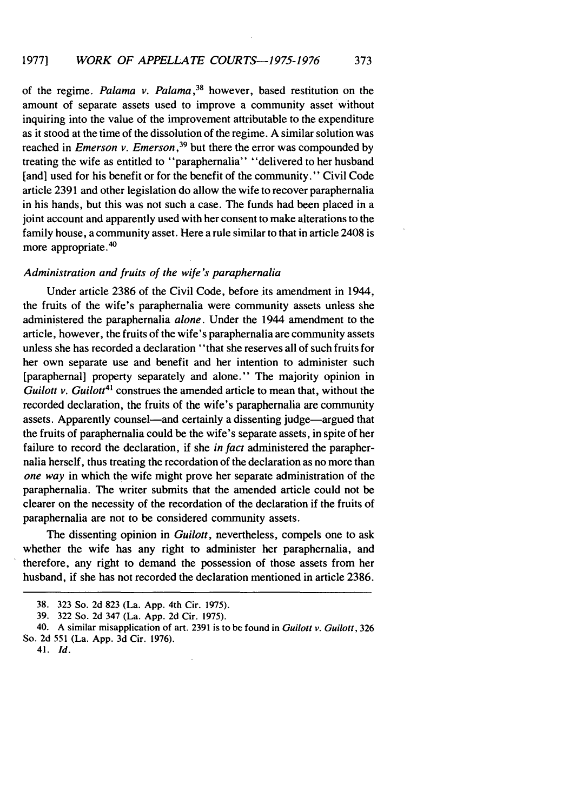of the regime. *Palama v. Palama,38* however, based restitution on the amount of separate assets used to improve a community asset without inquiring into the value of the improvement attributable to the expenditure as it stood at the time of the dissolution of the regime. A similar solution was reached in *Emerson v. Emerson,39* but there the error was compounded by treating the wife as entitled to "paraphernalia" "delivered to her husband [and] used for his benefit or for the benefit of the community." Civil Code article 2391 and other legislation do allow the wife to recover paraphernalia in his hands, but this was not such a case. The funds had been placed in a joint account and apparently used with her consent to make alterations to the family house, a community asset. Here a rule similar to that in article 2408 is more appropriate.<sup>40</sup>

#### *Administration and fruits of the wife's paraphernalia*

Under article 2386 of the Civil Code, before its amendment in 1944, the fruits of the wife's paraphernalia were community assets unless she administered the paraphernalia *alone.* Under the 1944 amendment to the article, however, the fruits of the wife's paraphernalia are community assets unless she has recorded a declaration "that she reserves all of such fruits for her own separate use and benefit and her intention to administer such [paraphernal] property separately and alone." The majority opinion in *Guilott v. Guilott<sup>41</sup>* construes the amended article to mean that, without the recorded declaration, the fruits of the wife's paraphernalia are community assets. Apparently counsel—and certainly a dissenting judge—argued that the fruits of paraphernalia could be the wife's separate assets, in spite of her failure to record the declaration, if she *in fact* administered the paraphernalia herself, thus treating the recordation of the declaration as no more than one way in which the wife might prove her separate administration of the paraphernalia. The writer submits that the amended article could not be clearer on the necessity of the recordation of the declaration if the fruits of paraphernalia are not to be considered community assets.

The dissenting opinion in *Guilott,* nevertheless, compels one to ask whether the wife has any right to administer her paraphernalia, and therefore, any right to demand the possession of those assets from her husband, if she has not recorded the declaration mentioned in article 2386.

41. *Id.*

<sup>38. 323</sup> So. 2d 823 (La. App. 4th Cir. 1975).

<sup>39. 322</sup> So. 2d 347 (La. App. 2d Cir. 1975).

<sup>40.</sup> A similar misapplication of art. 2391 is to be found in *Guilott* v. *Guilott,* 326 So. 2d 551 (La. App. 3d Cir. 1976).